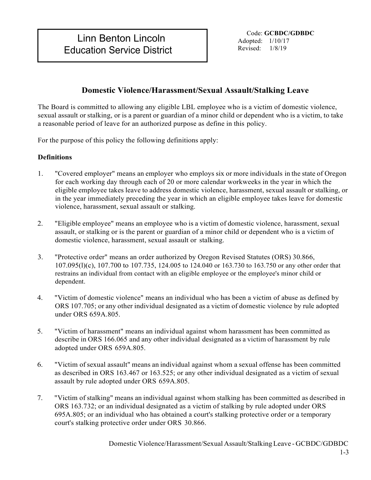Code: **GCBDC/GDBDC** Adopted: 1/10/17 Revised: 1/8/19

## **Domestic Violence/Harassment/Sexual Assault/Stalking Leave**

The Board is committed to allowing any eligible LBL employee who is a victim of domestic violence, sexual assault or stalking, or is a parent or guardian of a minor child or dependent who is a victim, to take a reasonable period of leave for an authorized purpose as define in this policy.

For the purpose of this policy the following definitions apply:

## **Definitions**

- 1. "Covered employer" means an employer who employs six or more individuals in the state of Oregon for each working day through each of 20 or more calendar workweeks in the year in which the eligible employee takes leave to address domestic violence, harassment, sexual assault or stalking, or in the year immediately preceding the year in which an eligible employee takes leave for domestic violence, harassment, sexual assault or stalking.
- 2. "Eligible employee" means an employee who is a victim of domestic violence, harassment, sexual assault, or stalking or is the parent or guardian of a minor child or dependent who is a victim of domestic violence, harassment, sexual assault or stalking.
- 3. "Protective order" means an order authorized by Oregon Revised Statutes (ORS) 30.866, 107.095(l)(c), 107.700 to 107.735, 124.005 to 124.040 or 163.730 to 163.750 or any other order that restrains an individual from contact with an eligible employee or the employee's minor child or dependent.
- 4. "Victim of domestic violence" means an individual who has been a victim of abuse as defined by ORS 107.705; or any other individual designated as a victim of domestic violence by rule adopted under ORS 659A.805.
- 5. "Victim of harassment" means an individual against whom harassment has been committed as describe in ORS 166.065 and any other individual designated as a victim of harassment by rule adopted under ORS 659A.805.
- 6. "Victim ofsexual assault" means an individual against whom a sexual offense has been committed as described in ORS 163.467 or 163.525; or any other individual designated as a victim of sexual assault by rule adopted under ORS 659A.805.
- 7. "Victim of stalking" means an individual against whom stalking has been committed as described in ORS 163.732; or an individual designated as a victim of stalking by rule adopted under ORS 695A.805; or an individual who has obtained a court's stalking protective order or a temporary court's stalking protective order under ORS 30.866.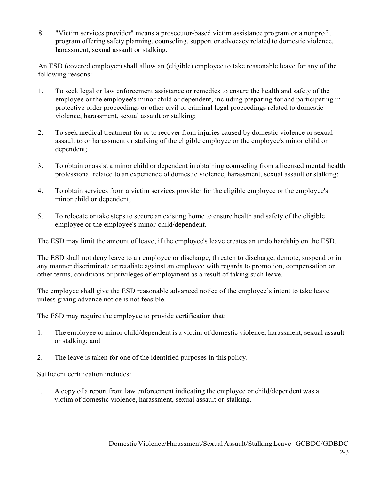8. "Victim services provider" means a prosecutor-based victim assistance program or a nonprofit program offering safety planning, counseling, support or advocacy related to domestic violence, harassment, sexual assault or stalking.

An ESD (covered employer) shall allow an (eligible) employee to take reasonable leave for any of the following reasons:

- 1. To seek legal or law enforcement assistance or remedies to ensure the health and safety of the employee or the employee's minor child or dependent, including preparing for and participating in protective order proceedings or other civil or criminal legal proceedings related to domestic violence, harassment, sexual assault or stalking;
- 2. To seek medical treatment for or to recover from injuries caused by domestic violence or sexual assault to or harassment or stalking of the eligible employee or the employee's minor child or dependent;
- 3. To obtain or assist a minor child or dependent in obtaining counseling from a licensed mental health professional related to an experience of domestic violence, harassment, sexual assault or stalking;
- 4. To obtain services from a victim services provider for the eligible employee or the employee's minor child or dependent;
- 5. To relocate or take steps to secure an existing home to ensure health and safety of the eligible employee or the employee's minor child/dependent.

The ESD may limit the amount of leave, if the employee's leave creates an undo hardship on the ESD.

The ESD shall not deny leave to an employee or discharge, threaten to discharge, demote, suspend or in any manner discriminate or retaliate against an employee with regards to promotion, compensation or other terms, conditions or privileges of employment as a result of taking such leave.

The employee shall give the ESD reasonable advanced notice of the employee's intent to take leave unless giving advance notice is not feasible.

The ESD may require the employee to provide certification that:

- 1. The employee or minor child/dependent is a victim of domestic violence, harassment, sexual assault or stalking; and
- 2. The leave is taken for one of the identified purposes in this policy.

Sufficient certification includes:

1. A copy of a report from law enforcement indicating the employee or child/dependent was a victim of domestic violence, harassment, sexual assault or stalking.